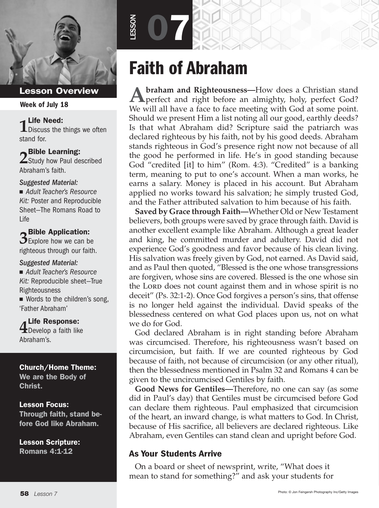

#### Week of July 18

**1** Life Need:<br>1 Discuss the things we often stand for.

**2** Bible Learning:<br>2 Study how Paul described Abraham's faith.

#### *Suggested Material:*

■ Adult Teacher's Resource *Kit:* Poster and Reproducible Sheet—The Romans Road to Life

**3** Bible Application:  $\mathbf{\mathcal{D}}$  Explore how we can be

righteous through our faith.

#### *Suggested Material:*

■ Adult Teacher's Resource *Kit:* Reproducible sheet—True Righteousness

 $\blacksquare$  Words to the children's song, 'Father Abraham'

**4** Life Response:<br>**4** Develop a faith like Abraham's.

#### Church/Home Theme:

We are the Body of Christ.

#### Lesson Focus:

Through faith, stand before God like Abraham.

Lesson Scripture: Romans 4:1-12

# Faith of Abraham

07

LESSON

**A** braham and Righteousness—How does a Christian stand perfect and right before an almighty, holy, perfect God? We will all have a face to face meeting with God at some point. Should we present Him a list noting all our good, earthly deeds? Is that what Abraham did? Scripture said the patriarch was declared righteous by his faith, not by his good deeds. Abraham stands righteous in God's presence right now not because of all the good he performed in life. He's in good standing because God "credited [it] to him" (Rom. 4:3). "Credited" is a banking term, meaning to put to one's account. When a man works, he earns a salary. Money is placed in his account. But Abraham applied no works toward his salvation; he simply trusted God, and the Father attributed salvation to him because of his faith.

**Saved by Grace through Faith—**Whether Old or New Testament believers, both groups were saved by grace through faith. David is another excellent example like Abraham. Although a great leader and king, he committed murder and adultery. David did not experience God's goodness and favor because of his clean living. His salvation was freely given by God, not earned. As David said, and as Paul then quoted, "Blessed is the one whose transgressions are forgiven, whose sins are covered. Blessed is the one whose sin the Lord does not count against them and in whose spirit is no deceit" (Ps. 32:1-2). Once God forgives a person's sins, that offense is no longer held against the individual. David speaks of the blessedness centered on what God places upon us, not on what we do for God.

God declared Abraham is in right standing before Abraham was circumcised. Therefore, his righteousness wasn't based on circumcision, but faith. If we are counted righteous by God because of faith, not because of circumcision (or any other ritual), then the blessedness mentioned in Psalm 32 and Romans 4 can be given to the uncircumcised Gentiles by faith.

**Good News for Gentiles—**Therefore, no one can say (as some did in Paul's day) that Gentiles must be circumcised before God can declare them righteous. Paul emphasized that circumcision of the heart, an inward change, is what matters to God. In Christ, because of His sacrifice, all believers are declared righteous. Like Abraham, even Gentiles can stand clean and upright before God.

#### As Your Students Arrive

On a board or sheet of newsprint, write, "What does it mean to stand for something?" and ask your students for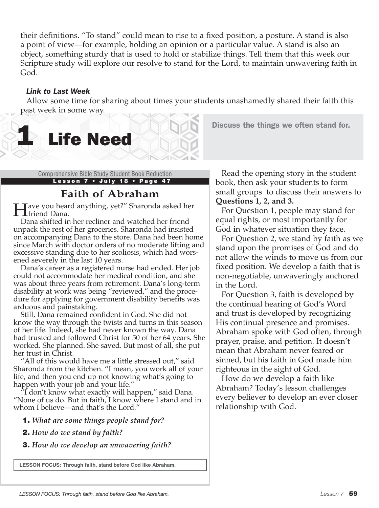their definitions. "To stand" could mean to rise to a fixed position, a posture. A stand is also a point of view—for example, holding an opinion or a particular value. A stand is also an object, something sturdy that is used to hold or stabilize things. Tell them that this week our Scripture study will explore our resolve to stand for the Lord, to maintain unwavering faith in God.

#### *Link to Last Week*

Allow some time for sharing about times your students unashamedly shared their faith this past week in some way.

Lesson 7 • July 18 • Page 47

**Life Need** 

# **Faith of Abraham**

**Tave you heard anything, yet?″ Sharonda asked her L**friend Dana.

Dana shifted in her recliner and watched her friend unpack the rest of her groceries. Sharonda had insisted on accompanying Dana to the store. Dana had been home since March with doctor orders of no moderate lifting and excessive standing due to her scoliosis, which had worsened severely in the last 10 years.

Dana's career as a registered nurse had ended. Her job could not accommodate her medical condition, and she was about three years from retirement. Dana's long-term disability at work was being "reviewed," and the procedure for applying for government disability benefits was arduous and painstaking.

Still, Dana remained confident in God. She did not know the way through the twists and turns in this season of her life. Indeed, she had never known the way. Dana had trusted and followed Christ for 50 of her 64 years. She worked. She planned. She saved. But most of all, she put her trust in Christ.

"All of this would have me a little stressed out," said Sharonda from the kitchen. "I mean, you work all of your life, and then you end up not knowing what's going to happen with your job and your life."

 $\sqrt[n]{I}$  don't know what exactly will happen," said Dana. "None of us do. But in faith, I know where I stand and in whom I believe—and that's the Lord."

- 1. *What are some things people stand for?*
- 2. *How do we stand by faith?*

3. *How do we develop an unwavering faith?*

**LESSON FOCUS: Through faith, stand before God like Abraham.**

Comprehensive Bible Study Student Book Reduction Read the opening story in the student book, then ask your students to form small groups to discuss their answers to **Questions 1, 2, and 3.**

Discuss the things we often stand for.

For Question 1, people may stand for equal rights, or most importantly for God in whatever situation they face.

For Question 2, we stand by faith as we stand upon the promises of God and do not allow the winds to move us from our fixed position. We develop a faith that is non-negotiable, unwaveringly anchored in the Lord.

For Question 3, faith is developed by the continual hearing of God's Word and trust is developed by recognizing His continual presence and promises. Abraham spoke with God often, through prayer, praise, and petition. It doesn't mean that Abraham never feared or sinned, but his faith in God made him righteous in the sight of God.

How do we develop a faith like Abraham? Today's lesson challenges every believer to develop an ever closer relationship with God.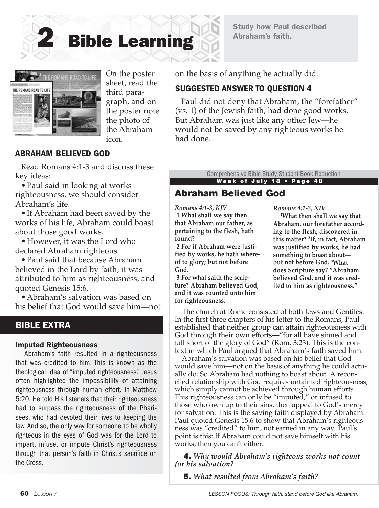





On the poster sheet, read the third paragraph, and on the poster note the photo of the Abraham icon.

# ABRAHAM BELIEVED GOD

Read Romans 4:1-3 and discuss these key ideas:

•Paul said in looking at works righteousness, we should consider Abraham's life.

•If Abraham had been saved by the works of his life, Abraham could boast about those good works.

•However, it was the Lord who declared Abraham righteous.

•Paul said that because Abraham believed in the Lord by faith, it was attributed to him as righteousness, and quoted Genesis 15:6.

•Abraham's salvation was based on his belief that God would save him—not

#### BIBLE EXTRA

#### Imputed Righteousness

Abraham's faith resulted in a righteousness that was credited to him. This is known as the theological idea of "imputed righteousness." Jesus often highlighted the impossibility of attaining righteousness through human effort. In Matthew 5:20, He told His listeners that their righteousness had to surpass the righteousness of the Pharisees, who had devoted their lives to keeping the law. And so, the only way for someone to be wholly righteous in the eyes of God was for the Lord to impart, infuse, or impute Christ's righteousness through that person's faith in Christ's sacrifice on the Cross.

on the basis of anything he actually did.

#### SUGGESTED ANSWER TO QUESTION 4

Paul did not deny that Abraham, the "forefather" (vs. 1) of the Jewish faith, had done good works. But Abraham was just like any other Jew—he would not be saved by any righteous works he had done.

> Week of July 18 • Page 48 Comprehensive Bible Study Student Book Reduction

# Abraham Believed God

*Romans 4:1-3, KJV* **1 What shall we say then that Abraham our father, as pertaining to the flesh, hath found?**

**2 For if Abraham were justified by works, he hath whereof to glory; but not before God.**

**3 For what saith the scripture? Abraham believed God, and it was counted unto him for righteousness.** 

*Romans 4:1-3, NIV*

 **1What then shall we say that Abraham, our forefather according to the flesh, discovered in this matter? 2 If, in fact, Abraham was justified by works, he had something to boast about but not before God. 3 What does Scripture say? "Abraham believed God, and it was credited to him as righteousness."**

The church at Rome consisted of both Jews and Gentiles. In the first three chapters of his letter to the Romans, Paul established that neither group can attain righteousness with God through their own efforts—"for all have sinned and fall short of the glory of God" (Rom. 3:23). This is the context in which Paul argued that Abraham's faith saved him.

Abraham's salvation was based on his belief that God would save him—not on the basis of anything he could actually do. So Abraham had nothing to boast about. A reconciled relationship with God requires untainted righteousness, which simply cannot be achieved through human efforts. This righteousness can only be "imputed," or infused to those who own up to their sins, then appeal to God's mercy for salvation. This is the saving faith displayed by Abraham. Paul quoted Genesis 15:6 to show that Abraham's righteousness was "credited" to him, not earned in any way. Paul's point is this: If Abraham could not save himself with his works, then you can't either.

4. *Why would Abraham's righteous works not count for his salvation?* 

5. *What resulted from Abraham's faith?*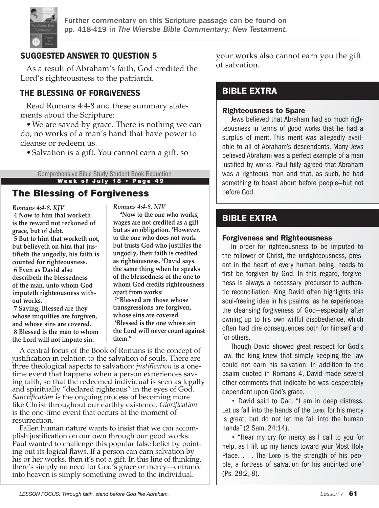

Further commentary on this Scripture passage can be found on pp. 418-419 in *The Wiersbe Bible Commentary: New Testament.*

# SUGGESTED ANSWER TO QUESTION 5

As a result of Abraham's faith, God credited the Lord's righteousness to the patriarch.

# THE BLESSING OF FORGIVENESS

Read Romans 4:4-8 and these summary statements about the Scripture:

•We are saved by grace. There is nothing we can do, no works of a man's hand that have power to cleanse or redeem us.

•Salvation is a gift. You cannot earn a gift, so

#### Week of July 18 • Page 49 Comprehensive Bible Study Student Book Reduction

# The Blessing of Forgiveness

*Romans 4:4-8, KJV* **4 Now to him that worketh is the reward not reckoned of grace, but of debt. 5 But to him that worketh not, but believeth on him that justifieth the ungodly, his faith is counted for righteousness. 6 Even as David also describeth the blessedness of the man, unto whom God imputeth righteousness without works,**

**7 Saying, Blessed are they whose iniquities are forgiven, and whose sins are covered. 8 Blessed is the man to whom the Lord will not impute sin.**

*Romans 4:4-8, NIV*

 **4Now to the one who works, wages are not credited as a gift but as an obligation. 5 However, to the one who does not work but trusts God who justifies the ungodly, their faith is credited as righteousness. 6 David says the same thing when he speaks of the blessedness of the one to whom God credits righteousness apart from works:**

**7 "Blessed are those whose transgressions are forgiven, whose sins are covered. 8 Blessed is the one whose sin the Lord will never count against them."** 

A central focus of the Book of Romans is the concept of justification in relation to the salvation of souls. There are three theological aspects to salvation: *justification* is a onetime event that happens when a person experiences saving faith, so that the redeemed individual is seen as legally and spiritually "declared righteous" in the eyes of God. *Sanctification* is the ongoing process of becoming more like Christ throughout our earthly existence. *Glorification* is the one-time event that occurs at the moment of resurrection.

Fallen human nature wants to insist that we can accomplish justification on our own through our good works. Paul wanted to challenge this popular false belief by pointing out its logical flaws. If a person can earn salvation by his or her works, then it's not a gift. In this line of thinking, there's simply no need for God's grace or mercy—entrance into heaven is simply something owed to the individual.

your works also cannot earn you the gift of salvation.

# BIBLE EXTRA

#### Righteousness to Spare

Jews believed that Abraham had so much righteousness in terms of good works that he had a surplus of merit. This merit was allegedly available to all of Abraham's descendants. Many Jews believed Abraham was a perfect example of a man justified by works. Paul fully agreed that Abraham was a righteous man and that, as such, he had something to boast about before people—but not before God.

# BIBLE EXTRA

#### Forgiveness and Righteousness

In order for righteousness to be imputed to the follower of Christ, the unrighteousness, present in the heart of every human being, needs to first be forgiven by God. In this regard, forgiveness is always a necessary precursor to authentic reconciliation. King David often highlights this soul-freeing idea in his psalms, as he experiences the cleansing forgiveness of God—especially after owning up to his own willful disobedience, which often had dire consequences both for himself and for others.

Though David showed great respect for God's law, the king knew that simply keeping the law could not earn his salvation. In addition to the psalm quoted in Romans 4, David made several other comments that indicate he was desperately dependent upon God's grace.

• David said to Gad, "I am in deep distress. Let us fall into the hands of the Lorp, for his mercy is great; but do not let me fall into the human hands" (2 Sam. 24:14).

• "Hear my cry for mercy as I call to you for help, as I lift up my hands toward your Most Holy Place.  $\ldots$  . The Lorp is the strength of his people, a fortress of salvation for his anointed one" (Ps. 28:2, 8).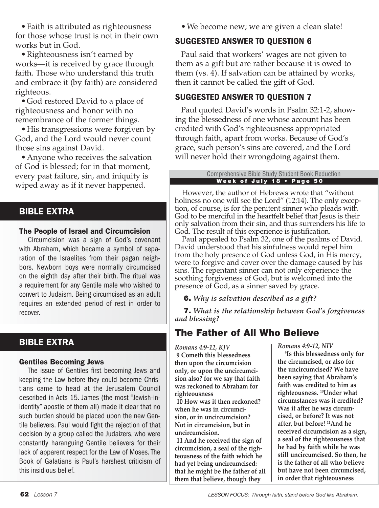• Faith is attributed as righteousness for those whose trust is not in their own works but in God.

• Righteousness isn't earned by works—it is received by grace through faith. Those who understand this truth and embrace it (by faith) are considered righteous.

•God restored David to a place of righteousness and honor with no remembrance of the former things.

• His transgressions were forgiven by God, and the Lord would never count those sins against David.

•Anyone who receives the salvation of God is blessed; for in that moment, every past failure, sin, and iniquity is wiped away as if it never happened.

# BIBLE EXTRA

#### The People of Israel and Circumcision

Circumcision was a sign of God's covenant with Abraham, which became a symbol of separation of the Israelites from their pagan neighbors. Newborn boys were normally circumcised on the eighth day after their birth. The ritual was a requirement for any Gentile male who wished to convert to Judaism. Being circumcised as an adult requires an extended period of rest in order to recover.

# BIBLE EXTRA

#### Gentiles Becoming Jews

The issue of Gentiles first becoming Jews and keeping the Law before they could become Christians came to head at the Jerusalem Council described in Acts 15. James (the most "Jewish-inidentity" apostle of them all) made it clear that no such burden should be placed upon the new Gentile believers. Paul would fight the rejection of that decision by a group called the Judaizers, who were constantly haranguing Gentile believers for their lack of apparent respect for the Law of Moses. The Book of Galatians is Paul's harshest criticism of this insidious belief.

•We become new; we are given a clean slate!

# SUGGESTED ANSWER TO QUESTION 6

Paul said that workers' wages are not given to them as a gift but are rather because it is owed to them (vs. 4). If salvation can be attained by works, then it cannot be called the gift of God.

# SUGGESTED ANSWER TO QUESTION 7

Paul quoted David's words in Psalm 32:1-2, showing the blessedness of one whose account has been credited with God's righteousness appropriated through faith, apart from works. Because of God's grace, such person's sins are covered, and the Lord will never hold their wrongdoing against them.

#### Week of July 18 • Page 50 Comprehensive Bible Study Student Book Reduction

However, the author of Hebrews wrote that "without holiness no one will see the Lord" (12:14). The only exception, of course, is for the penitent sinner who pleads with God to be merciful in the heartfelt belief that Jesus is their only salvation from their sin, and thus surrenders his life to God. The result of this experience is justification.

Paul appealed to Psalm 32, one of the psalms of David. David understood that his sinfulness would repel him from the holy presence of God unless God, in His mercy, were to forgive and cover over the damage caused by his sins. The repentant sinner can not only experience the soothing forgiveness of God, but is welcomed into the presence of God, as a sinner saved by grace.

6. *Why is salvation described as a gift?* 

7. *What is the relationship between God's forgiveness and blessing?* 

# The Father of All Who Believe

*Romans 4:9-12, KJV* 

**9 Cometh this blessedness then upon the circumcision only, or upon the uncircumcision also? for we say that faith was reckoned to Abraham for righteousness**

**10 How was it then reckoned? when he was in circumcision, or in uncircumcision? Not in circumcision, but in uncircumcision.**

**11 And he received the sign of circumcision, a seal of the righteousness of the faith which he had yet being uncircumcised: that he might be the father of all them that believe, though they** 

*Romans 4:9-12, NIV* 

 **9Is this blessedness only for the circumcised, or also for the uncircumcised? We have been saying that Abraham's faith was credited to him as righteousness. 10Under what circumstances was it credited? Was it after he was circumcised, or before? It was not after, but before! 11And he received circumcision as a sign, a seal of the righteousness that he had by faith while he was still uncircumcised. So then, he is the father of all who believe but have not been circumcised, in order that righteousness**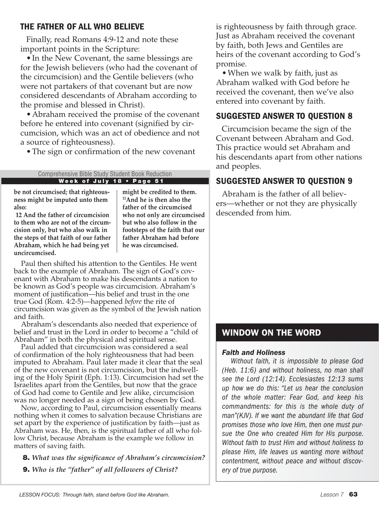#### THE FATHER OF ALL WHO BELIEVE

Finally, read Romans 4:9-12 and note these important points in the Scripture:

• In the New Covenant, the same blessings are for the Jewish believers (who had the covenant of the circumcision) and the Gentile believers (who were not partakers of that covenant but are now considered descendants of Abraham according to the promise and blessed in Christ).

•Abraham received the promise of the covenant before he entered into covenant (signified by circumcision, which was an act of obedience and not a source of righteousness).

•The sign or confirmation of the new covenant

#### Week of July 18 • Page 51 Comprehensive Bible Study Student Book Reduction

**be not circumcised; that righteousness might be imputed unto them also:**

**12 And the father of circumcision to them who are not of the circumcision only, but who also walk in the steps of that faith of our father Abraham, which he had being yet uncircumcised.**

**might be credited to them. 12And he is then also the father of the circumcised who not only are circumcised but who also follow in the footsteps of the faith that our father Abraham had before he was circumcised.**

Paul then shifted his attention to the Gentiles. He went back to the example of Abraham. The sign of God's covenant with Abraham to make his descendants a nation to be known as God's people was circumcision. Abraham's moment of justification—his belief and trust in the one true God (Rom. 4:2-5)—happened *before* the rite of circumcision was given as the symbol of the Jewish nation and faith.

Abraham's descendants also needed that experience of belief and trust in the Lord in order to become a "child of Abraham" in both the physical and spiritual sense.

Paul added that circumcision was considered a seal of confirmation of the holy righteousness that had been imputed to Abraham. Paul later made it clear that the seal of the new covenant is not circumcision, but the indwelling of the Holy Spirit (Eph. 1:13). Circumcision had set the Israelites apart from the Gentiles, but now that the grace of God had come to Gentile and Jew alike, circumcision was no longer needed as a sign of being chosen by God.

Now, according to Paul, circumcision essentially means nothing when it comes to salvation because Christians are set apart by the experience of justification by faith—just as Abraham was. He, then, is the spiritual father of all who follow Christ, because Abraham is the example we follow in matters of saving faith.

8. *What was the significance of Abraham's circumcision?* 

9. *Who is the "father" of all followers of Christ?*

is righteousness by faith through grace. Just as Abraham received the covenant by faith, both Jews and Gentiles are heirs of the covenant according to God's promise.

•When we walk by faith, just as Abraham walked with God before he received the covenant, then we've also entered into covenant by faith.

### SUGGESTED ANSWER TO QUESTION 8

Circumcision became the sign of the Covenant between Abraham and God. This practice would set Abraham and his descendants apart from other nations and peoples.

# SUGGESTED ANSWER TO QUESTION 9

Abraham is the father of all believers—whether or not they are physically descended from him.

# WINDOW ON THE WORD

#### *Faith and Holiness*

*Without faith, it is impossible to please God (Heb. 11:6) and without holiness, no man shall see the Lord (12:14). Ecclesiastes 12:13 sums up how we do this: "Let us hear the conclusion of the whole matter: Fear God, and keep his commandments: for this is the whole duty of man"(KJV). If we want the abundant life that God promises those who love Him, then one must pursue the One who created Him for His purpose. Without faith to trust Him and without holiness to please Him, life leaves us wanting more without contentment, without peace and without discovery of true purpose.*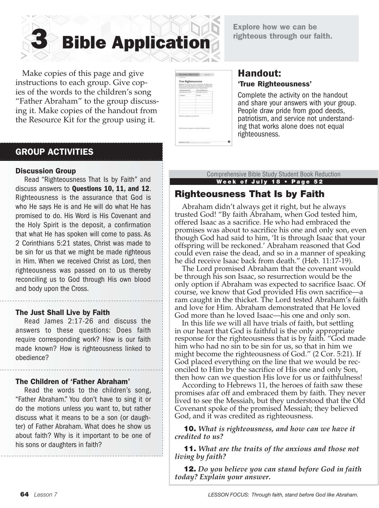Explore how we can be righteous through our faith.

**Bible Application** 

 Make copies of this page and give instructions to each group. Give copies of the words to the children's song "Father Abraham" to the group discussing it. Make copies of the handout from the Resource Kit for the group using it.

| GRAS AND AD RANGTON BLVD.                                                                                         | <b>SIR ALTERATIONS CONTINU</b> |  |
|-------------------------------------------------------------------------------------------------------------------|--------------------------------|--|
| There are a sound out on                                                                                          | Arrist May 11th 11th           |  |
| <b>Harbourn</b>                                                                                                   | <b>Burning</b>                 |  |
| West delivery appropriate and head that?<br>and the state of the state of the<br>ा जाता<br><b>BURNELINE VAN B</b> |                                |  |

### Handout: 'True Righteousness'

Complete the activity on the handout and share your answers with your group. People draw pride from good deeds, patriotism, and service not understand- ing that works alone does not equal righteousness.

# GROUP ACTIVITIES

#### Discussion Group

Read "Righteousness That Is by Faith" and discuss answers to Questions 10, 11, and 12. Righteousness is the assurance that God is who He says He is and He will do what He has promised to do. His Word is His Covenant and the Holy Spirit is the deposit, a confirmation that what He has spoken will come to pass. As 2 Corinthians 5:21 states, Christ was made to be sin for us that we might be made righteous in Him. When we received Christ as Lord, then righteousness was passed on to us thereby reconciling us to God through His own blood and body upon the Cross.

#### The Just Shall Live by Faith

Read James 2:17-26 and discuss the answers to these questions: Does faith require corresponding work? How is our faith made known? How is righteousness linked to obedience?

#### The Children of 'Father Abraham'

Read the words to the children's song, "Father Abraham." You don't have to sing it or do the motions unless you want to, but rather discuss what it means to be a son (or daughter) of Father Abraham. What does he show us about faith? Why is it important to be one of his sons or daughters in faith?

Week of July 18 • Page 52 Comprehensive Bible Study Student Book Reduction

# Righteousness That Is by Faith

Abraham didn't always get it right, but he always trusted God! "By faith Abraham, when God tested him, offered Isaac as a sacrifice. He who had embraced the promises was about to sacrifice his one and only son, even though God had said to him, 'It is through Isaac that your offspring will be reckoned.' Abraham reasoned that God could even raise the dead, and so in a manner of speaking he did receive Isaac back from death." (Heb. 11:17-19).

The Lord promised Abraham that the covenant would be through his son Isaac, so resurrection would be the only option if Abraham was expected to sacrifice Isaac. Of course, we know that God provided His own sacrifice—a ram caught in the thicket. The Lord tested Abraham's faith and love for Him. Abraham demonstrated that He loved God more than he loved Isaac—his one and only son.

In this life we will all have trials of faith, but settling in our heart that God is faithful is the only appropriate response for the righteousness that is by faith. "God made him who had no sin to be sin for us, so that in him we might become the righteousness of God." (2 Cor. 5:21). If God placed everything on the line that we would be reconciled to Him by the sacrifice of His one and only Son, then how can we question His love for us or faithfulness!

According to Hebrews 11, the heroes of faith saw these promises afar off and embraced them by faith. They never lived to see the Messiah, but they understood that the Old Covenant spoke of the promised Messiah; they believed God, and it was credited as righteousness.

10. *What is righteousness, and how can we have it credited to us?*

11. *What are the traits of the anxious and those not living by faith?*

12. *Do you believe you can stand before God in faith today? Explain your answer.*